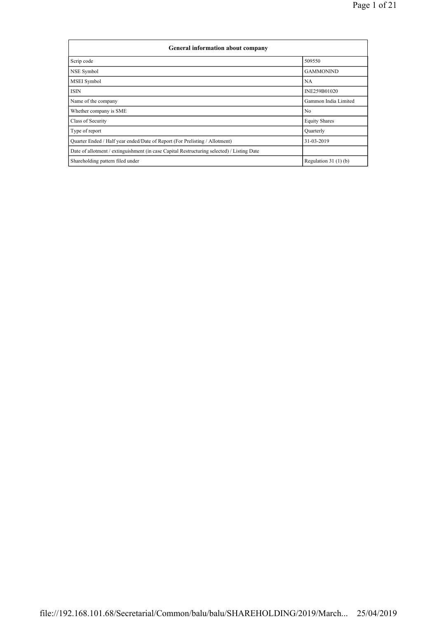| General information about company                                                          |                       |  |  |  |  |  |
|--------------------------------------------------------------------------------------------|-----------------------|--|--|--|--|--|
| Scrip code                                                                                 | 509550                |  |  |  |  |  |
| <b>NSE Symbol</b>                                                                          | <b>GAMMONIND</b>      |  |  |  |  |  |
| <b>MSEI</b> Symbol                                                                         | <b>NA</b>             |  |  |  |  |  |
| ISIN                                                                                       | INE259B01020          |  |  |  |  |  |
| Name of the company                                                                        | Gammon India Limited  |  |  |  |  |  |
| Whether company is SME                                                                     | N <sub>0</sub>        |  |  |  |  |  |
| Class of Security                                                                          | <b>Equity Shares</b>  |  |  |  |  |  |
| Type of report                                                                             | Quarterly             |  |  |  |  |  |
| Quarter Ended / Half year ended/Date of Report (For Prelisting / Allotment)                | 31-03-2019            |  |  |  |  |  |
| Date of allotment / extinguishment (in case Capital Restructuring selected) / Listing Date |                       |  |  |  |  |  |
| Shareholding pattern filed under                                                           | Regulation $31(1)(b)$ |  |  |  |  |  |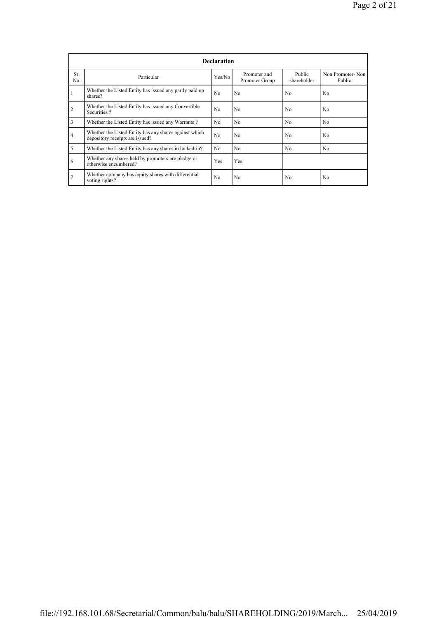|                | <b>Declaration</b>                                                                        |                |                                |                       |                            |  |  |  |  |
|----------------|-------------------------------------------------------------------------------------------|----------------|--------------------------------|-----------------------|----------------------------|--|--|--|--|
| Sr.<br>No.     | Particular                                                                                | Yes/No         | Promoter and<br>Promoter Group | Public<br>shareholder | Non Promoter-Non<br>Public |  |  |  |  |
| $\mathbf{1}$   | Whether the Listed Entity has issued any partly paid up<br>shares?                        | N <sub>0</sub> | N <sub>0</sub>                 | N <sub>0</sub>        | N <sub>0</sub>             |  |  |  |  |
| $\overline{2}$ | Whether the Listed Entity has issued any Convertible<br>Securities?                       | N <sub>0</sub> | N <sub>0</sub>                 | No.                   | No                         |  |  |  |  |
| 3              | Whether the Listed Entity has issued any Warrants?                                        | N <sub>0</sub> | N <sub>0</sub>                 | N <sub>0</sub>        | N <sub>0</sub>             |  |  |  |  |
| $\overline{4}$ | Whether the Listed Entity has any shares against which<br>depository receipts are issued? | N <sub>0</sub> | N <sub>0</sub>                 | N <sub>0</sub>        | N <sub>0</sub>             |  |  |  |  |
| 5              | Whether the Listed Entity has any shares in locked-in?                                    | N <sub>0</sub> | N <sub>0</sub>                 | No.                   | N <sub>0</sub>             |  |  |  |  |
| 6              | Whether any shares held by promoters are pledge or<br>otherwise encumbered?               | Yes            | Yes                            |                       |                            |  |  |  |  |
| $\overline{7}$ | Whether company has equity shares with differential<br>voting rights?                     | No             | N <sub>0</sub>                 | N <sub>0</sub>        | N <sub>0</sub>             |  |  |  |  |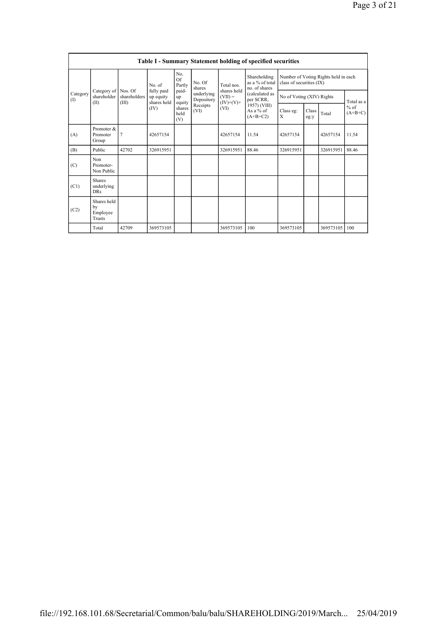|                 | <b>Table I - Summary Statement holding of specified securities</b>                                                 |                                           |                         |                     |                          |                                   |                                                                                 |                                                                  |  |           |       |  |
|-----------------|--------------------------------------------------------------------------------------------------------------------|-------------------------------------------|-------------------------|---------------------|--------------------------|-----------------------------------|---------------------------------------------------------------------------------|------------------------------------------------------------------|--|-----------|-------|--|
|                 |                                                                                                                    |                                           | No. of                  | No.<br>Of<br>Partly | No. Of<br>shares         | Total nos.                        | Shareholding<br>as a % of total<br>no. of shares<br>(calculated as<br>per SCRR, | Number of Voting Rights held in each<br>class of securities (IX) |  |           |       |  |
| Category<br>(1) | Category of<br>shareholder                                                                                         | Nos. Of<br>shareholders                   | fully paid<br>up equity | paid-<br>up         | underlying<br>Depository | shares held<br>$(VII) =$          |                                                                                 | No of Voting (XIV) Rights                                        |  |           |       |  |
|                 | $(IV)+(V)+$<br>shares held<br>(II)<br>(III)<br>equity<br>Receipts<br>(VI)<br>(IV)<br>shares<br>(VI)<br>held<br>(V) | 1957) (VIII)<br>As a $%$ of<br>$(A+B+C2)$ | Class eg:<br>X          | Class<br>eg:y       | Total                    | Total as a<br>$%$ of<br>$(A+B+C)$ |                                                                                 |                                                                  |  |           |       |  |
| (A)             | Promoter &<br>Promoter<br>Group                                                                                    | 7                                         | 42657154                |                     |                          | 42657154                          | 11.54                                                                           | 42657154                                                         |  | 42657154  | 11.54 |  |
| (B)             | Public                                                                                                             | 42702                                     | 326915951               |                     |                          | 326915951                         | 88.46                                                                           | 326915951                                                        |  | 326915951 | 88.46 |  |
| (C)             | Non<br>Promoter-<br>Non Public                                                                                     |                                           |                         |                     |                          |                                   |                                                                                 |                                                                  |  |           |       |  |
| (C1)            | <b>Shares</b><br>underlying<br><b>DRs</b>                                                                          |                                           |                         |                     |                          |                                   |                                                                                 |                                                                  |  |           |       |  |
| (C2)            | Shares held<br>by<br>Employee<br>Trusts                                                                            |                                           |                         |                     |                          |                                   |                                                                                 |                                                                  |  |           |       |  |
|                 | Total                                                                                                              | 42709                                     | 369573105               |                     |                          | 369573105                         | 100                                                                             | 369573105                                                        |  | 369573105 | 100   |  |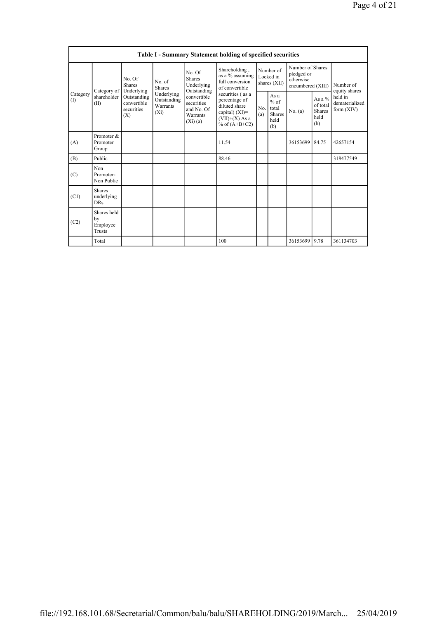| <b>Table I - Summary Statement holding of specified securities</b> |                                                                                                                                                                                                                                                                                                |                                                         |                         |                                                  |                                                                       |                                                       |                                           |                                                                  |       |                            |
|--------------------------------------------------------------------|------------------------------------------------------------------------------------------------------------------------------------------------------------------------------------------------------------------------------------------------------------------------------------------------|---------------------------------------------------------|-------------------------|--------------------------------------------------|-----------------------------------------------------------------------|-------------------------------------------------------|-------------------------------------------|------------------------------------------------------------------|-------|----------------------------|
|                                                                    |                                                                                                                                                                                                                                                                                                | No. Of<br><b>Shares</b>                                 | No. of<br><b>Shares</b> | No. Of<br><b>Shares</b><br>Underlying            | Shareholding,<br>as a % assuming<br>full conversion<br>of convertible | Number of<br>Locked in<br>shares (XII)                |                                           | Number of Shares<br>pledged or<br>otherwise<br>encumbered (XIII) |       | Number of<br>equity shares |
| Category<br>(I)                                                    | Underlying<br>Outstanding<br>Category of<br>Underlying<br>shareholder<br>convertible<br>Outstanding<br>Outstanding<br>percentage of<br>convertible<br>securities<br>(II)<br>diluted share<br>Warrants<br>securities<br>and No. Of<br>$(X_i)$<br>capital) $(XI)=$<br>Warrants<br>(X)<br>(Xi)(a) | securities (as a<br>$(VII)+(X)$ As a<br>% of $(A+B+C2)$ | No.<br>(a)              | As a<br>$%$ of<br>total<br>Shares<br>held<br>(b) | No. $(a)$                                                             | As a $\%$<br>of total<br><b>Shares</b><br>held<br>(b) | held in<br>dematerialized<br>form $(XIV)$ |                                                                  |       |                            |
| (A)                                                                | Promoter &<br>Promoter<br>Group                                                                                                                                                                                                                                                                |                                                         |                         |                                                  | 11.54                                                                 |                                                       |                                           | 36153699                                                         | 84.75 | 42657154                   |
| (B)                                                                | Public                                                                                                                                                                                                                                                                                         |                                                         |                         |                                                  | 88.46                                                                 |                                                       |                                           |                                                                  |       | 318477549                  |
| (C)                                                                | Non<br>Promoter-<br>Non Public                                                                                                                                                                                                                                                                 |                                                         |                         |                                                  |                                                                       |                                                       |                                           |                                                                  |       |                            |
| (C1)                                                               | <b>Shares</b><br>underlying<br><b>DRs</b>                                                                                                                                                                                                                                                      |                                                         |                         |                                                  |                                                                       |                                                       |                                           |                                                                  |       |                            |
| (C2)                                                               | Shares held<br>by<br>Employee<br>Trusts                                                                                                                                                                                                                                                        |                                                         |                         |                                                  |                                                                       |                                                       |                                           |                                                                  |       |                            |
|                                                                    | Total                                                                                                                                                                                                                                                                                          |                                                         |                         |                                                  | 100                                                                   |                                                       |                                           | 36153699                                                         | 9.78  | 361134703                  |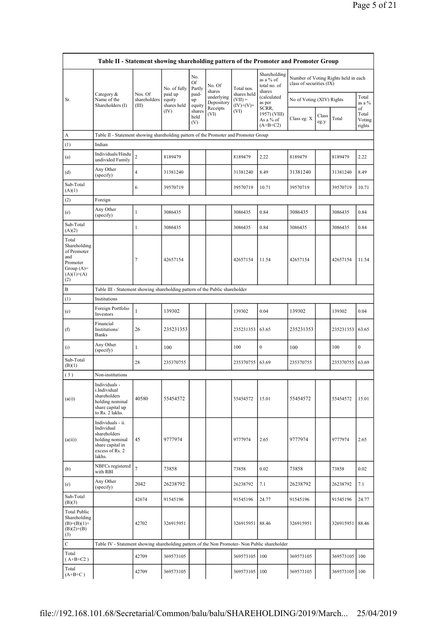|                                                                                                | Table II - Statement showing shareholding pattern of the Promoter and Promoter Group                                |                                                                              |                         |                                     |                          |                           |                                                     |                           |             |                                      |                  |                                 |
|------------------------------------------------------------------------------------------------|---------------------------------------------------------------------------------------------------------------------|------------------------------------------------------------------------------|-------------------------|-------------------------------------|--------------------------|---------------------------|-----------------------------------------------------|---------------------------|-------------|--------------------------------------|------------------|---------------------------------|
|                                                                                                |                                                                                                                     | Nos. Of                                                                      | No. of fully<br>paid up | No.<br><b>Of</b><br>Partly<br>paid- | No. Of<br>shares         | Total nos.<br>shares held | Shareholding<br>as a % of<br>total no. of<br>shares | class of securities (IX)  |             | Number of Voting Rights held in each |                  |                                 |
| Sr.                                                                                            | Category $&$<br>Name of the<br>Shareholders (I)                                                                     | shareholders<br>(III)                                                        | equity<br>shares held   | up<br>equity                        | underlying<br>Depository | $(VII) =$<br>$(IV)+(V)+$  | (calculated<br>as per                               | No of Voting (XIV) Rights |             | Total<br>as a %                      |                  |                                 |
|                                                                                                |                                                                                                                     |                                                                              | (IV)                    | shares<br>held<br>(V)               | Receipts<br>(VI)         | (VI)                      | 1957) (VIII)<br>As a % of<br>$(A+B+C2)$             | SCRR,                     | Class eg: X | Class<br>eg:y                        | Total            | of<br>Total<br>Voting<br>rights |
| A                                                                                              | Table II - Statement showing shareholding pattern of the Promoter and Promoter Group                                |                                                                              |                         |                                     |                          |                           |                                                     |                           |             |                                      |                  |                                 |
| (1)                                                                                            | Indian                                                                                                              |                                                                              |                         |                                     |                          |                           |                                                     |                           |             |                                      |                  |                                 |
| (a)                                                                                            | Individuals/Hindu<br>undivided Family                                                                               | $\overline{c}$                                                               | 8189479                 |                                     |                          | 8189479                   | 2.22                                                | 8189479                   |             | 8189479                              | 2.22             |                                 |
| (d)                                                                                            | Any Other<br>(specify)                                                                                              | $\overline{4}$                                                               | 31381240                |                                     |                          | 31381240                  | 8.49                                                | 31381240                  |             | 31381240                             | 8.49             |                                 |
| Sub-Total<br>(A)(1)                                                                            |                                                                                                                     | 6                                                                            | 39570719                |                                     |                          | 39570719                  | 10.71                                               | 39570719                  |             | 39570719                             | 10.71            |                                 |
| (2)                                                                                            | Foreign                                                                                                             |                                                                              |                         |                                     |                          |                           |                                                     |                           |             |                                      |                  |                                 |
| (e)                                                                                            | Any Other<br>(specify)                                                                                              | $\mathbf{1}$                                                                 | 3086435                 |                                     |                          | 3086435                   | 0.84                                                | 3086435                   |             | 3086435                              | 0.84             |                                 |
| Sub-Total<br>(A)(2)                                                                            |                                                                                                                     | $\mathbf{1}$                                                                 | 3086435                 |                                     |                          | 3086435                   | 0.84                                                | 3086435                   |             | 3086435                              | 0.84             |                                 |
| Total<br>Shareholding<br>of Promoter<br>and<br>Promoter<br>Group $(A)=$<br>$(A)(1)+(A)$<br>(2) |                                                                                                                     | 7                                                                            | 42657154                |                                     |                          | 42657154                  | 11.54                                               | 42657154                  |             | 42657154                             | 11.54            |                                 |
| B                                                                                              |                                                                                                                     | Table III - Statement showing shareholding pattern of the Public shareholder |                         |                                     |                          |                           |                                                     |                           |             |                                      |                  |                                 |
| (1)                                                                                            | Institutions                                                                                                        |                                                                              |                         |                                     |                          |                           |                                                     |                           |             |                                      |                  |                                 |
| (e)                                                                                            | Foreign Portfolio<br>Investors                                                                                      | $\mathbf{1}$                                                                 | 139302                  |                                     |                          | 139302                    | 0.04                                                | 139302                    |             | 139302                               | 0.04             |                                 |
| (f)                                                                                            | Financial<br>Institutions/<br><b>Banks</b>                                                                          | 26                                                                           | 235231353               |                                     |                          | 235231353                 | 63.65                                               | 235231353                 |             | 235231353                            | 63.65            |                                 |
| (i)                                                                                            | Any Other<br>(specify)                                                                                              | $\mathbf{1}$                                                                 | 100                     |                                     |                          | 100                       | $\boldsymbol{0}$                                    | 100                       |             | 100                                  | $\boldsymbol{0}$ |                                 |
| Sub-Total<br>(B)(1)                                                                            |                                                                                                                     | 28                                                                           | 235370755               |                                     |                          | 235370755                 | 63.69                                               | 235370755                 |             | 235370755                            | 63.69            |                                 |
| (3)                                                                                            | Non-institutions                                                                                                    |                                                                              |                         |                                     |                          |                           |                                                     |                           |             |                                      |                  |                                 |
| (a(i))                                                                                         | Individuals -<br>i.Individual<br>shareholders<br>holding nominal<br>share capital up<br>to Rs. 2 lakhs.             | 40580                                                                        | 55454572                |                                     |                          | 55454572                  | 15.01                                               | 55454572                  |             | 55454572                             | 15.01            |                                 |
| (a(ii))                                                                                        | Individuals - ii.<br>Individual<br>shareholders<br>holding nominal<br>share capital in<br>excess of Rs. 2<br>lakhs. | 45                                                                           | 9777974                 |                                     |                          | 9777974                   | 2.65                                                | 9777974                   |             | 9777974                              | 2.65             |                                 |
| (b)                                                                                            | NBFCs registered<br>with RBI                                                                                        | $\overline{7}$                                                               | 73858                   |                                     |                          | 73858                     | 0.02                                                | 73858                     |             | 73858                                | 0.02             |                                 |
| (e)                                                                                            | Any Other<br>(specify)                                                                                              | 2042                                                                         | 26238792                |                                     |                          | 26238792                  | 7.1                                                 | 26238792                  |             | 26238792                             | 7.1              |                                 |
| Sub-Total<br>(B)(3)                                                                            |                                                                                                                     | 42674                                                                        | 91545196                |                                     |                          | 91545196                  | 24.77                                               | 91545196                  |             | 91545196                             | 24.77            |                                 |
| Total Public<br>Shareholding<br>$(B)= (B)(1) +$<br>$(B)(2)+(B)$<br>(3)                         |                                                                                                                     | 42702                                                                        | 326915951               |                                     |                          | 326915951 88.46           |                                                     | 326915951                 |             | 326915951                            | 88.46            |                                 |
| $\mathbf C$                                                                                    | Table IV - Statement showing shareholding pattern of the Non Promoter- Non Public shareholder                       |                                                                              |                         |                                     |                          |                           |                                                     |                           |             |                                      |                  |                                 |
| Total<br>$(A+B+C2)$                                                                            |                                                                                                                     | 42709                                                                        | 369573105               |                                     |                          | 369573105                 | 100                                                 | 369573105                 |             | 369573105                            | 100              |                                 |
| Total<br>$(A+B+C)$                                                                             |                                                                                                                     | 42709                                                                        | 369573105               |                                     |                          | 369573105 100             |                                                     | 369573105                 |             | 369573105 100                        |                  |                                 |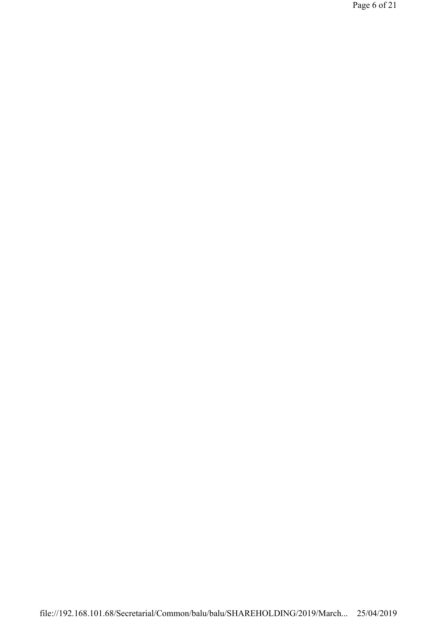Page 6 of 21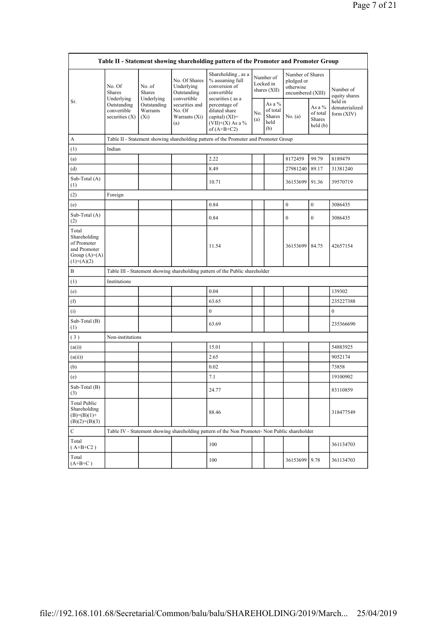|                                                                                        | Table II - Statement showing shareholding pattern of the Promoter and Promoter Group |                                       |                                                           |                                                                                               |                                                           |                                        |                                                                  |                                                  |                                         |  |
|----------------------------------------------------------------------------------------|--------------------------------------------------------------------------------------|---------------------------------------|-----------------------------------------------------------|-----------------------------------------------------------------------------------------------|-----------------------------------------------------------|----------------------------------------|------------------------------------------------------------------|--------------------------------------------------|-----------------------------------------|--|
|                                                                                        | No. Of<br><b>Shares</b><br>Underlying                                                | No. of<br><b>Shares</b><br>Underlying | No. Of Shares<br>Underlying<br>Outstanding<br>convertible | Shareholding, as a<br>% assuming full<br>conversion of<br>convertible<br>securities (as a     |                                                           | Number of<br>Locked in<br>shares (XII) | Number of Shares<br>pledged or<br>otherwise<br>encumbered (XIII) |                                                  | Number of<br>equity shares              |  |
| Sr.                                                                                    | Outstanding<br>convertible<br>securities $(X)$                                       | Outstanding<br>Warrants<br>$(X_i)$    | securities and<br>No. Of<br>Warrants (Xi)<br>(a)          | percentage of<br>diluted share<br>capital) $(XI)$ =<br>$(VII)+(X)$ As a %<br>of $(A+B+C2)$    | As a %<br>of total<br>No.<br>Shares<br>(a)<br>held<br>(b) |                                        | No. (a)                                                          | As a $%$<br>of total<br><b>Shares</b><br>held(b) | held in<br>dematerialized<br>form (XIV) |  |
| A                                                                                      |                                                                                      |                                       |                                                           | Table II - Statement showing shareholding pattern of the Promoter and Promoter Group          |                                                           |                                        |                                                                  |                                                  |                                         |  |
| (1)                                                                                    | Indian                                                                               |                                       |                                                           |                                                                                               |                                                           |                                        |                                                                  |                                                  |                                         |  |
| (a)                                                                                    |                                                                                      |                                       |                                                           | 2.22                                                                                          |                                                           |                                        | 8172459                                                          | 99.79                                            | 8189479                                 |  |
| (d)                                                                                    |                                                                                      |                                       |                                                           | 8.49                                                                                          |                                                           |                                        | 27981240                                                         | 89.17                                            | 31381240                                |  |
| Sub-Total (A)<br>(1)                                                                   |                                                                                      |                                       |                                                           | 10.71                                                                                         |                                                           |                                        | 36153699                                                         | 91.36                                            | 39570719                                |  |
| (2)                                                                                    | Foreign                                                                              |                                       |                                                           |                                                                                               |                                                           |                                        |                                                                  |                                                  |                                         |  |
| (e)                                                                                    |                                                                                      |                                       |                                                           | 0.84                                                                                          |                                                           |                                        | $\boldsymbol{0}$                                                 | $\boldsymbol{0}$                                 | 3086435                                 |  |
| Sub-Total $(A)$<br>(2)                                                                 |                                                                                      |                                       |                                                           | 0.84                                                                                          |                                                           |                                        | $\mathbf{0}$                                                     | $\mathbf{0}$                                     | 3086435                                 |  |
| Total<br>Shareholding<br>of Promoter<br>and Promoter<br>Group $(A)=A)$<br>$(1)+(A)(2)$ |                                                                                      |                                       |                                                           | 11.54                                                                                         |                                                           |                                        | 36153699 84.75                                                   |                                                  | 42657154                                |  |
| B                                                                                      |                                                                                      |                                       |                                                           | Table III - Statement showing shareholding pattern of the Public shareholder                  |                                                           |                                        |                                                                  |                                                  |                                         |  |
| (1)                                                                                    | Institutions                                                                         |                                       |                                                           |                                                                                               |                                                           |                                        |                                                                  |                                                  |                                         |  |
| (e)                                                                                    |                                                                                      |                                       |                                                           | 0.04                                                                                          |                                                           |                                        |                                                                  |                                                  | 139302                                  |  |
| (f)                                                                                    |                                                                                      |                                       |                                                           | 63.65                                                                                         |                                                           |                                        |                                                                  |                                                  | 235227388                               |  |
| (i)                                                                                    |                                                                                      |                                       |                                                           | $\mathbf{0}$                                                                                  |                                                           |                                        |                                                                  |                                                  | $\boldsymbol{0}$                        |  |
| $Sub-Total(B)$<br>(1)                                                                  |                                                                                      |                                       |                                                           | 63.69                                                                                         |                                                           |                                        |                                                                  |                                                  | 235366690                               |  |
| (3)                                                                                    | Non-institutions                                                                     |                                       |                                                           |                                                                                               |                                                           |                                        |                                                                  |                                                  |                                         |  |
| (a(i))                                                                                 |                                                                                      |                                       |                                                           | 15.01                                                                                         |                                                           |                                        |                                                                  |                                                  | 54883925                                |  |
| (a(ii))                                                                                |                                                                                      |                                       |                                                           | 2.65                                                                                          |                                                           |                                        |                                                                  |                                                  | 9052174                                 |  |
| (b)                                                                                    |                                                                                      |                                       |                                                           | 0.02                                                                                          |                                                           |                                        |                                                                  |                                                  | 73858                                   |  |
| (e)                                                                                    |                                                                                      |                                       |                                                           | 7.1                                                                                           |                                                           |                                        |                                                                  |                                                  | 19100902                                |  |
| Sub-Total (B)<br>(3)                                                                   |                                                                                      |                                       |                                                           | 24.77                                                                                         |                                                           |                                        |                                                                  |                                                  | 83110859                                |  |
| <b>Total Public</b><br>Shareholding<br>$(B)= (B)(1) +$<br>$(B)(2)+(B)(3)$              |                                                                                      |                                       |                                                           | 88.46                                                                                         |                                                           |                                        |                                                                  |                                                  | 318477549                               |  |
| C                                                                                      |                                                                                      |                                       |                                                           | Table IV - Statement showing shareholding pattern of the Non Promoter- Non Public shareholder |                                                           |                                        |                                                                  |                                                  |                                         |  |
| Total<br>$(A+B+C2)$                                                                    |                                                                                      |                                       |                                                           | 100                                                                                           |                                                           |                                        |                                                                  |                                                  | 361134703                               |  |
| Total<br>$(A+B+C)$                                                                     |                                                                                      |                                       |                                                           | 100                                                                                           |                                                           |                                        | 36153699                                                         | 9.78                                             | 361134703                               |  |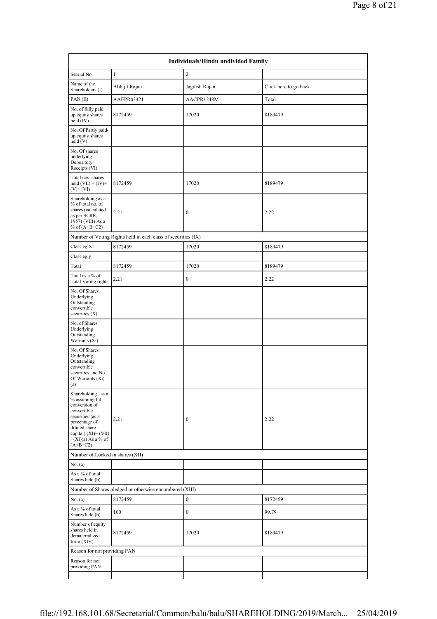|                                                                                                                                                                                           |                                                               | Individuals/Hindu undivided Family |                       |  |
|-------------------------------------------------------------------------------------------------------------------------------------------------------------------------------------------|---------------------------------------------------------------|------------------------------------|-----------------------|--|
| Searial No.                                                                                                                                                                               | $1\,$                                                         | $\sqrt{2}$                         |                       |  |
| Name of the<br>Shareholders (I)                                                                                                                                                           | Abhijit Rajan                                                 | Jagdish Rajan                      | Click here to go back |  |
| PAN(II)                                                                                                                                                                                   | AAEPR0342J                                                    | AACPR1248M                         | Total                 |  |
| No. of fully paid<br>up equity shares<br>held (IV)                                                                                                                                        | 8172459                                                       | 17020                              | 8189479               |  |
| No. Of Partly paid-<br>up equity shares<br>held (V)                                                                                                                                       |                                                               |                                    |                       |  |
| No. Of shares<br>underlying<br>Depository<br>Receipts (VI)                                                                                                                                |                                                               |                                    |                       |  |
| Total nos. shares<br>held $(VII) = (IV) +$<br>$(V)$ + $(VI)$                                                                                                                              | 8172459                                                       | 17020                              | 8189479               |  |
| Shareholding as a<br>% of total no. of<br>shares (calculated<br>as per SCRR,<br>1957) (VIII) As a<br>% of $(A+B+C2)$                                                                      | 2.21                                                          | $\bf{0}$                           | 2.22                  |  |
|                                                                                                                                                                                           | Number of Voting Rights held in each class of securities (IX) |                                    |                       |  |
| Class eg:X                                                                                                                                                                                | 8172459                                                       | 17020                              | 8189479               |  |
| Class eg:y                                                                                                                                                                                |                                                               |                                    |                       |  |
| Total                                                                                                                                                                                     | 8172459                                                       | 17020                              | 8189479               |  |
| Total as a % of<br><b>Total Voting rights</b>                                                                                                                                             | 2.21                                                          | $\bf{0}$                           | 2.22                  |  |
| No. Of Shares<br>Underlying<br>Outstanding<br>convertible<br>securities $(X)$                                                                                                             |                                                               |                                    |                       |  |
| No. of Shares<br>Underlying<br>Outstanding<br>Warrants (Xi)                                                                                                                               |                                                               |                                    |                       |  |
| No. Of Shares<br>Underlying<br>Outstanding<br>convertible<br>securities and No.<br>Of Warrants (Xi)<br>(a)                                                                                |                                                               |                                    |                       |  |
| Shareholding, as a<br>% assuming full<br>conversion of<br>convertible<br>securities (as a<br>percentage of<br>diluted share<br>capital) (XI)= (VII)<br>$+(Xi)(a)$ As a % of<br>$(A+B+C2)$ | 2.21                                                          | $\bf{0}$                           | 2.22                  |  |
| Number of Locked in shares (XII)                                                                                                                                                          |                                                               |                                    |                       |  |
| No. (a)                                                                                                                                                                                   |                                                               |                                    |                       |  |
| As a % of total<br>Shares held (b)                                                                                                                                                        |                                                               |                                    |                       |  |
|                                                                                                                                                                                           | Number of Shares pledged or otherwise encumbered (XIII)       |                                    |                       |  |
| No. (a)                                                                                                                                                                                   | 8172459                                                       | $\bf{0}$                           | 8172459               |  |
| As a % of total<br>Shares held (b)                                                                                                                                                        | 100                                                           | $\bf{0}$                           | 99.79                 |  |
| Number of equity<br>shares held in<br>dematerialized<br>form (XIV)                                                                                                                        | 8172459                                                       | 17020                              | 8189479               |  |
| Reason for not providing PAN                                                                                                                                                              |                                                               |                                    |                       |  |
| Reason for not<br>providing PAN                                                                                                                                                           |                                                               |                                    |                       |  |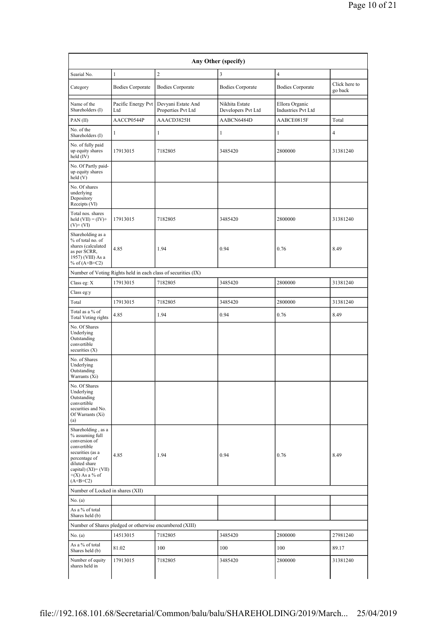| Searial No.                                                                                                                                                                              | $\mathbf{1}$                                            | $\overline{c}$                                                | $\overline{\mathbf{3}}$              | $\overline{4}$                       |                          |
|------------------------------------------------------------------------------------------------------------------------------------------------------------------------------------------|---------------------------------------------------------|---------------------------------------------------------------|--------------------------------------|--------------------------------------|--------------------------|
| Category                                                                                                                                                                                 | <b>Bodies Corporate</b>                                 | <b>Bodies Corporate</b>                                       | <b>Bodies Corporate</b>              | <b>Bodies Corporate</b>              | Click here to<br>go back |
| Name of the<br>Shareholders (I)                                                                                                                                                          | Ltd                                                     | Pacific Energy Pvt   Devyani Estate And<br>Properties Pvt Ltd | Nikhita Estate<br>Developers Pvt Ltd | Ellora Organic<br>Industries Pvt Ltd |                          |
| PAN(II)                                                                                                                                                                                  | AACCP0544P                                              | AAACD3825H                                                    | AABCN6484D                           | AABCE0815F                           | Total                    |
| No. of the<br>Shareholders (I)                                                                                                                                                           | $\mathbf{1}$                                            | 1                                                             | 1                                    | $\mathbf{1}$                         | $\overline{4}$           |
| No. of fully paid<br>up equity shares<br>held (IV)                                                                                                                                       | 17913015                                                | 7182805                                                       | 3485420                              | 2800000                              | 31381240                 |
| No. Of Partly paid-<br>up equity shares<br>held(V)                                                                                                                                       |                                                         |                                                               |                                      |                                      |                          |
| No. Of shares<br>underlying<br>Depository<br>Receipts (VI)                                                                                                                               |                                                         |                                                               |                                      |                                      |                          |
| Total nos. shares<br>held $(VII) = (IV) +$<br>$(V)$ + $(VI)$                                                                                                                             | 17913015                                                | 7182805                                                       | 3485420                              | 2800000                              | 31381240                 |
| Shareholding as a<br>% of total no. of<br>shares (calculated<br>as per SCRR,<br>1957) (VIII) As a<br>% of $(A+B+C2)$                                                                     | 4.85                                                    | 1.94                                                          | 0.94                                 | 0.76                                 | 8.49                     |
|                                                                                                                                                                                          |                                                         | Number of Voting Rights held in each class of securities (IX) |                                      |                                      |                          |
| Class eg: X                                                                                                                                                                              | 17913015                                                | 7182805                                                       | 3485420                              | 2800000                              | 31381240                 |
| Class eg:y                                                                                                                                                                               |                                                         |                                                               |                                      |                                      |                          |
| Total                                                                                                                                                                                    | 17913015                                                | 7182805                                                       | 3485420                              | 2800000                              | 31381240                 |
| Total as a % of<br><b>Total Voting rights</b>                                                                                                                                            | 4.85                                                    | 1.94                                                          | 0.94                                 | 0.76                                 | 8.49                     |
| No. Of Shares<br>Underlying<br>Outstanding<br>convertible<br>securities $(X)$                                                                                                            |                                                         |                                                               |                                      |                                      |                          |
| No. of Shares<br>Underlying<br>Outstanding<br>Warrants (Xi)                                                                                                                              |                                                         |                                                               |                                      |                                      |                          |
| No. Of Shares<br>Underlying<br>Outstanding<br>convertible<br>securities and No.<br>Of Warrants (Xi)<br>(a)                                                                               |                                                         |                                                               |                                      |                                      |                          |
| Shareholding, as a<br>% assuming full<br>conversion of<br>convertible<br>securities (as a<br>percentage of<br>diluted share<br>capital) $(XI) = (VII)$<br>$+(X)$ As a % of<br>$(A+B+C2)$ | 4.85                                                    | 1.94                                                          | 0.94                                 | 0.76                                 | 8.49                     |
| Number of Locked in shares (XII)                                                                                                                                                         |                                                         |                                                               |                                      |                                      |                          |
| No. (a)                                                                                                                                                                                  |                                                         |                                                               |                                      |                                      |                          |
| As a % of total<br>Shares held (b)                                                                                                                                                       |                                                         |                                                               |                                      |                                      |                          |
|                                                                                                                                                                                          | Number of Shares pledged or otherwise encumbered (XIII) |                                                               |                                      |                                      |                          |
| No. (a)                                                                                                                                                                                  | 14513015                                                | 7182805                                                       | 3485420                              | 2800000                              | 27981240                 |
| As a % of total<br>Shares held (b)                                                                                                                                                       | 81.02                                                   | 100                                                           | 100                                  | 100                                  | 89.17                    |
| Number of equity<br>shares held in                                                                                                                                                       | 17913015                                                | 7182805                                                       | 3485420                              | 2800000                              | 31381240                 |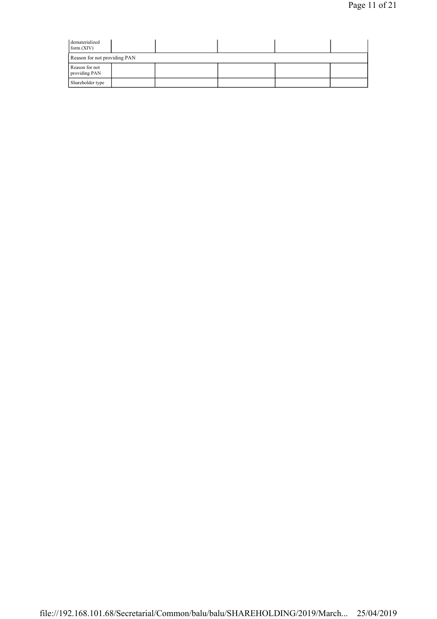| dematerialized<br>form $(XIV)$  |  |  |  |  |  |  |  |
|---------------------------------|--|--|--|--|--|--|--|
| Reason for not providing PAN    |  |  |  |  |  |  |  |
| Reason for not<br>providing PAN |  |  |  |  |  |  |  |
| Shareholder type                |  |  |  |  |  |  |  |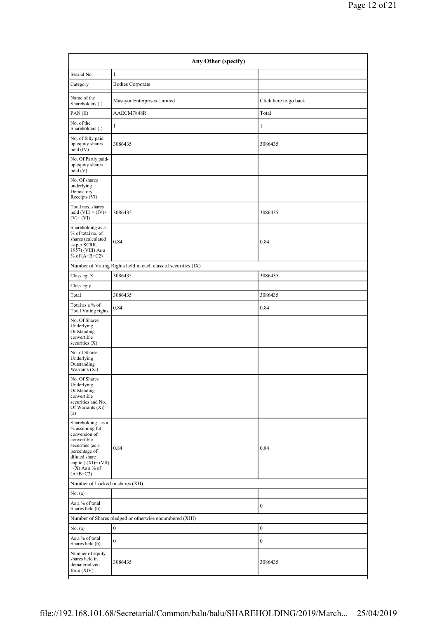| Searial No.                                                                                                                                                                              | $\mathbf{1}$                                                  |                       |
|------------------------------------------------------------------------------------------------------------------------------------------------------------------------------------------|---------------------------------------------------------------|-----------------------|
| Category                                                                                                                                                                                 | <b>Bodies Corporate</b>                                       |                       |
| Name of the<br>Shareholders (I)                                                                                                                                                          | Masayor Enterprises Limited                                   | Click here to go back |
| PAN(II)                                                                                                                                                                                  | AAECM7848R                                                    | Total                 |
| No. of the<br>Shareholders (I)                                                                                                                                                           | $\mathbf{1}$                                                  | $\mathbf{1}$          |
| No. of fully paid<br>up equity shares<br>held (IV)                                                                                                                                       | 3086435                                                       | 3086435               |
| No. Of Partly paid-<br>up equity shares<br>$\text{held}(V)$                                                                                                                              |                                                               |                       |
| No. Of shares<br>underlying<br>Depository<br>Receipts (VI)                                                                                                                               |                                                               |                       |
| Total nos. shares<br>held $(VII) = (IV) +$<br>$(V)$ + $(VI)$                                                                                                                             | 3086435                                                       | 3086435               |
| Shareholding as a<br>% of total no. of<br>shares (calculated<br>as per SCRR,<br>1957) (VIII) As a<br>% of $(A+B+C2)$                                                                     | 0.84                                                          | 0.84                  |
|                                                                                                                                                                                          | Number of Voting Rights held in each class of securities (IX) |                       |
| Class eg: X                                                                                                                                                                              | 3086435                                                       | 3086435               |
| Class eg:y                                                                                                                                                                               |                                                               |                       |
| Total                                                                                                                                                                                    | 3086435                                                       | 3086435               |
| Total as a % of<br><b>Total Voting rights</b>                                                                                                                                            | 0.84                                                          | 0.84                  |
| No. Of Shares<br>Underlying<br>Outstanding<br>convertible<br>securities $(X)$                                                                                                            |                                                               |                       |
| No. of Shares<br>Underlying<br>Outstanding<br>Warrants (Xi)                                                                                                                              |                                                               |                       |
| No. Of Shares<br>Underlying<br>Outstanding<br>convertible<br>securities and No.<br>Of Warrants $(Xi)$<br>(a)                                                                             |                                                               |                       |
| Shareholding, as a<br>% assuming full<br>conversion of<br>convertible<br>securities (as a<br>percentage of<br>diluted share<br>capital) $(XI) = (VII)$<br>$+(X)$ As a % of<br>$(A+B+C2)$ | 0.84                                                          | 0.84                  |
| Number of Locked in shares (XII)                                                                                                                                                         |                                                               |                       |
| No. (a)                                                                                                                                                                                  |                                                               |                       |
| As a % of total<br>Shares held (b)                                                                                                                                                       |                                                               | $\boldsymbol{0}$      |
|                                                                                                                                                                                          | Number of Shares pledged or otherwise encumbered (XIII)       |                       |
| No. $(a)$                                                                                                                                                                                | $\mathbf{0}$                                                  | $\boldsymbol{0}$      |
| As a % of total<br>Shares held (b)                                                                                                                                                       | $\overline{0}$                                                | $\boldsymbol{0}$      |
| Number of equity<br>shares held in<br>dematerialized<br>form (XIV)                                                                                                                       | 3086435                                                       | 3086435               |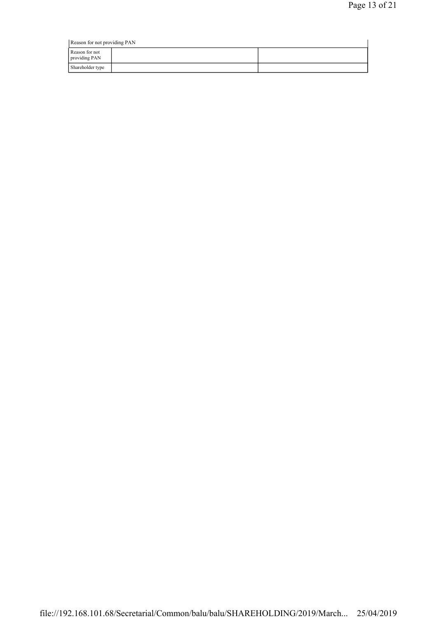| Reason for not providing PAN    |  |  |  |  |  |  |  |
|---------------------------------|--|--|--|--|--|--|--|
| Reason for not<br>providing PAN |  |  |  |  |  |  |  |
| Shareholder type                |  |  |  |  |  |  |  |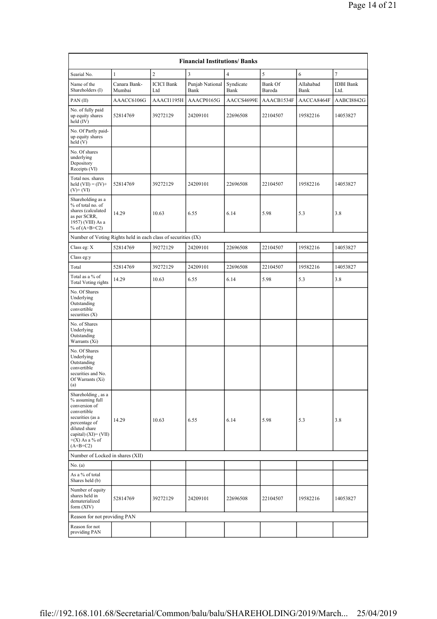| <b>Financial Institutions/ Banks</b>                                                                                                                                                     |                                  |                          |                         |                   |                   |                   |                          |  |
|------------------------------------------------------------------------------------------------------------------------------------------------------------------------------------------|----------------------------------|--------------------------|-------------------------|-------------------|-------------------|-------------------|--------------------------|--|
| Searial No.                                                                                                                                                                              | $\mathbf{1}$                     | $\overline{c}$           | 3                       | $\overline{4}$    | 5                 | 6                 | $\overline{7}$           |  |
| Name of the<br>Shareholders (I)                                                                                                                                                          | Canara Bank-<br>Mumbai           | <b>ICICI Bank</b><br>Ltd | Punjab National<br>Bank | Syndicate<br>Bank | Bank Of<br>Baroda | Allahabad<br>Bank | <b>IDBI</b> Bank<br>Ltd. |  |
| PAN(II)                                                                                                                                                                                  | AAACC6106G                       | AAACI1195H               | AAACP0165G              | AACCS4699E        | AAACB1534F        | AACCA8464F        | AABCI8842G               |  |
| No. of fully paid<br>up equity shares<br>held $(IV)$                                                                                                                                     | 52814769                         | 39272129                 | 24209101                | 22696508          | 22104507          | 19582216          | 14053827                 |  |
| No. Of Partly paid-<br>up equity shares<br>held (V)                                                                                                                                      |                                  |                          |                         |                   |                   |                   |                          |  |
| No. Of shares<br>underlying<br>Depository<br>Receipts (VI)                                                                                                                               |                                  |                          |                         |                   |                   |                   |                          |  |
| Total nos. shares<br>held $(VII) = (IV) +$<br>$(V)$ + $(VI)$                                                                                                                             | 52814769                         | 39272129                 | 24209101                | 22696508          | 22104507          | 19582216          | 14053827                 |  |
| Shareholding as a<br>% of total no. of<br>shares (calculated<br>as per SCRR,<br>1957) (VIII) As a<br>% of $(A+B+C2)$                                                                     | 14.29                            | 10.63                    | 6.55                    | 6.14              | 5.98              | 5.3               | 3.8                      |  |
| Number of Voting Rights held in each class of securities (IX)                                                                                                                            |                                  |                          |                         |                   |                   |                   |                          |  |
| Class eg: X                                                                                                                                                                              | 52814769                         | 39272129                 | 24209101                | 22696508          | 22104507          | 19582216          | 14053827                 |  |
| Class eg:y                                                                                                                                                                               |                                  |                          |                         |                   |                   |                   |                          |  |
| Total                                                                                                                                                                                    | 52814769                         | 39272129                 | 24209101                | 22696508          | 22104507          | 19582216          | 14053827                 |  |
| Total as a % of<br>Total Voting rights                                                                                                                                                   | 14.29                            | 10.63                    | 6.55                    | 6.14              | 5.98              | 5.3               | 3.8                      |  |
| No. Of Shares<br>Underlying<br>Outstanding<br>convertible<br>securities $(X)$                                                                                                            |                                  |                          |                         |                   |                   |                   |                          |  |
| No. of Shares<br>Underlying<br>Outstanding<br>Warrants (Xi)                                                                                                                              |                                  |                          |                         |                   |                   |                   |                          |  |
| No. Of Shares<br>Underlying<br>Outstanding<br>convertible<br>securities and No.<br>Of Warrants (Xi)<br>(a)                                                                               |                                  |                          |                         |                   |                   |                   |                          |  |
| Shareholding, as a<br>% assuming full<br>conversion of<br>convertible<br>securities (as a<br>percentage of<br>diluted share<br>capital) $(XI) = (VII)$<br>$+(X)$ As a % of<br>$(A+B+C2)$ | 14.29                            | 10.63                    | 6.55                    | 6.14              | 5.98              | 5.3               | 3.8                      |  |
|                                                                                                                                                                                          | Number of Locked in shares (XII) |                          |                         |                   |                   |                   |                          |  |
| No. (a)                                                                                                                                                                                  |                                  |                          |                         |                   |                   |                   |                          |  |
| As a % of total<br>Shares held (b)                                                                                                                                                       |                                  |                          |                         |                   |                   |                   |                          |  |
| Number of equity<br>shares held in<br>dematerialized<br>form (XIV)                                                                                                                       | 52814769                         | 39272129                 | 24209101                | 22696508          | 22104507          | 19582216          | 14053827                 |  |
| Reason for not providing PAN                                                                                                                                                             |                                  |                          |                         |                   |                   |                   |                          |  |
| Reason for not<br>providing PAN                                                                                                                                                          |                                  |                          |                         |                   |                   |                   |                          |  |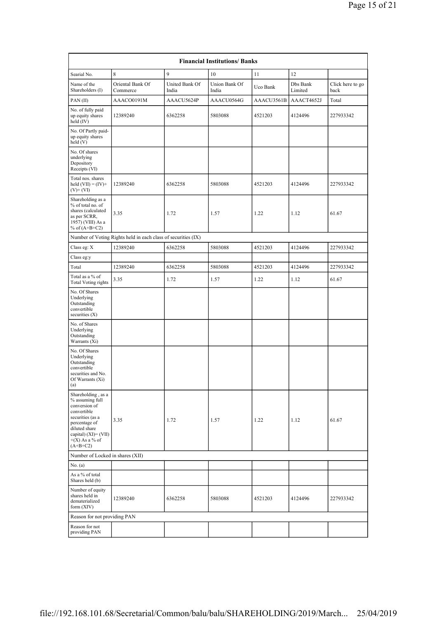|                                                                                                                                                                                          |                                                               |                         | <b>Financial Institutions/ Banks</b> |            |                     |                          |
|------------------------------------------------------------------------------------------------------------------------------------------------------------------------------------------|---------------------------------------------------------------|-------------------------|--------------------------------------|------------|---------------------|--------------------------|
| Searial No.                                                                                                                                                                              | 8                                                             | 9                       | 10                                   | 11         | 12                  |                          |
| Name of the<br>Shareholders (I)                                                                                                                                                          | Oriental Bank Of<br>Commerce                                  | United Bank Of<br>India | Union Bank Of<br>India               | Uco Bank   | Dbs Bank<br>Limited | Click here to go<br>back |
| PAN(II)                                                                                                                                                                                  | AAACO0191M                                                    | AAACU5624P              | AAACU0564G                           | AAACU3561B | AAACT4652J          | Total                    |
| No. of fully paid<br>up equity shares<br>held (IV)                                                                                                                                       | 12389240                                                      | 6362258                 | 5803088                              | 4521203    | 4124496             | 227933342                |
| No. Of Partly paid-<br>up equity shares<br>held (V)                                                                                                                                      |                                                               |                         |                                      |            |                     |                          |
| No. Of shares<br>underlying<br>Depository<br>Receipts (VI)                                                                                                                               |                                                               |                         |                                      |            |                     |                          |
| Total nos. shares<br>held $(VII) = (IV) +$<br>$(V)$ + $(VI)$                                                                                                                             | 12389240                                                      | 6362258                 | 5803088                              | 4521203    | 4124496             | 227933342                |
| Shareholding as a<br>% of total no. of<br>shares (calculated<br>as per SCRR,<br>1957) (VIII) As a<br>% of $(A+B+C2)$                                                                     | 3.35                                                          | 1.72                    | 1.57                                 | 1.22       | 1.12                | 61.67                    |
|                                                                                                                                                                                          | Number of Voting Rights held in each class of securities (IX) |                         |                                      |            |                     |                          |
| Class eg: X                                                                                                                                                                              | 12389240                                                      | 6362258                 | 5803088                              | 4521203    | 4124496             | 227933342                |
| Class eg:y                                                                                                                                                                               |                                                               |                         |                                      |            |                     |                          |
| Total                                                                                                                                                                                    | 12389240                                                      | 6362258                 | 5803088                              | 4521203    | 4124496             | 227933342                |
| Total as a % of<br><b>Total Voting rights</b>                                                                                                                                            | 3.35                                                          | 1.72                    | 1.57                                 | 1.22       | 1.12                | 61.67                    |
| No. Of Shares<br>Underlying<br>Outstanding<br>convertible<br>securities $(X)$                                                                                                            |                                                               |                         |                                      |            |                     |                          |
| No. of Shares<br>Underlying<br>Outstanding<br>Warrants (Xi)                                                                                                                              |                                                               |                         |                                      |            |                     |                          |
| No. Of Shares<br>Underlying<br>Outstanding<br>convertible<br>securities and No.<br>Of Warrants (Xi)<br>(a)                                                                               |                                                               |                         |                                      |            |                     |                          |
| Shareholding, as a<br>% assuming full<br>conversion of<br>convertible<br>securities (as a<br>percentage of<br>diluted share<br>capital) $(XI) = (VII)$<br>$+(X)$ As a % of<br>$(A+B+C2)$ | 3.35                                                          | 1.72                    | 1.57                                 | 1.22       | 1.12                | 61.67                    |
| Number of Locked in shares (XII)                                                                                                                                                         |                                                               |                         |                                      |            |                     |                          |
| No. (a)                                                                                                                                                                                  |                                                               |                         |                                      |            |                     |                          |
| As a % of total<br>Shares held (b)                                                                                                                                                       |                                                               |                         |                                      |            |                     |                          |
| Number of equity<br>shares held in<br>dematerialized<br>form (XIV)                                                                                                                       | 12389240                                                      | 6362258                 | 5803088                              | 4521203    | 4124496             | 227933342                |
| Reason for not providing PAN                                                                                                                                                             |                                                               |                         |                                      |            |                     |                          |
| Reason for not<br>providing PAN                                                                                                                                                          |                                                               |                         |                                      |            |                     |                          |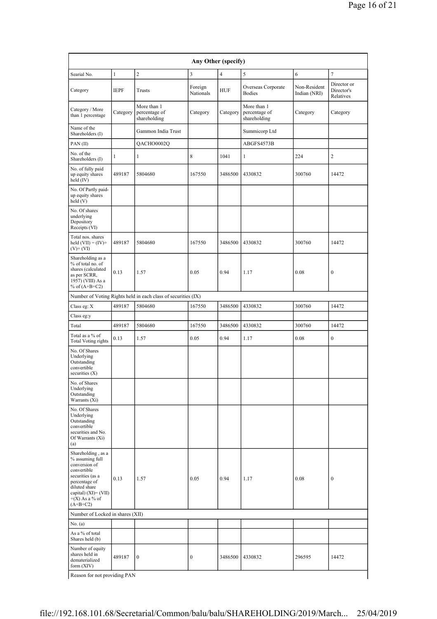|                                                                                                                                                                                          |              |                                                               | Any Other (specify)  |                |                                              |                              |                                        |
|------------------------------------------------------------------------------------------------------------------------------------------------------------------------------------------|--------------|---------------------------------------------------------------|----------------------|----------------|----------------------------------------------|------------------------------|----------------------------------------|
| Searial No.                                                                                                                                                                              | $\mathbf{1}$ | $\overline{c}$                                                | $\mathfrak{Z}$       | $\overline{4}$ | 5                                            | 6                            | $\overline{7}$                         |
| Category                                                                                                                                                                                 | <b>IEPF</b>  | Trusts                                                        | Foreign<br>Nationals | <b>HUF</b>     | Overseas Corporate<br><b>Bodies</b>          | Non-Resident<br>Indian (NRI) | Director or<br>Director's<br>Relatives |
| Category / More<br>than 1 percentage                                                                                                                                                     | Category     | More than 1<br>percentage of<br>shareholding                  | Category             | Category       | More than 1<br>percentage of<br>shareholding | Category                     | Category                               |
| Name of the<br>Shareholders (I)                                                                                                                                                          |              | Gammon India Trust                                            |                      |                | Summicorp Ltd                                |                              |                                        |
| PAN(II)                                                                                                                                                                                  |              | QACHO0002Q                                                    |                      |                | ABGFS4573B                                   |                              |                                        |
| No. of the<br>Shareholders (I)                                                                                                                                                           | 1            | 1                                                             | 8                    | 1041           | 1                                            | 224                          | $\overline{c}$                         |
| No. of fully paid<br>up equity shares<br>held (IV)                                                                                                                                       | 489187       | 5804680                                                       | 167550               | 3486500        | 4330832                                      | 300760                       | 14472                                  |
| No. Of Partly paid-<br>up equity shares<br>held(V)                                                                                                                                       |              |                                                               |                      |                |                                              |                              |                                        |
| No. Of shares<br>underlying<br>Depository<br>Receipts (VI)                                                                                                                               |              |                                                               |                      |                |                                              |                              |                                        |
| Total nos, shares<br>held $(VII) = (IV) +$<br>$(V)$ + $(VI)$                                                                                                                             | 489187       | 5804680                                                       | 167550               | 3486500        | 4330832                                      | 300760                       | 14472                                  |
| Shareholding as a<br>% of total no. of<br>shares (calculated<br>as per SCRR,<br>1957) (VIII) As a<br>% of $(A+B+C2)$                                                                     | 0.13         | 1.57                                                          | 0.05                 | 0.94           | 1.17                                         | 0.08                         | $\boldsymbol{0}$                       |
|                                                                                                                                                                                          |              | Number of Voting Rights held in each class of securities (IX) |                      |                |                                              |                              |                                        |
| Class eg: X                                                                                                                                                                              | 489187       | 5804680                                                       | 167550               | 3486500        | 4330832                                      | 300760                       | 14472                                  |
| Class eg:y                                                                                                                                                                               |              |                                                               |                      |                |                                              |                              |                                        |
| Total                                                                                                                                                                                    | 489187       | 5804680                                                       | 167550               | 3486500        | 4330832                                      | 300760                       | 14472                                  |
| Total as a % of<br><b>Total Voting rights</b>                                                                                                                                            | 0.13         | 1.57                                                          | 0.05                 | 0.94           | 1.17                                         | 0.08                         | $\boldsymbol{0}$                       |
| No. Of Shares<br>Underlying<br>Outstanding<br>convertible<br>securities $(X)$                                                                                                            |              |                                                               |                      |                |                                              |                              |                                        |
| No. of Shares<br>Underlying<br>Outstanding<br>Warrants (Xi)                                                                                                                              |              |                                                               |                      |                |                                              |                              |                                        |
| No. Of Shares<br>Underlying<br>Outstanding<br>convertible<br>securities and No.<br>Of Warrants (Xi)<br>(a)                                                                               |              |                                                               |                      |                |                                              |                              |                                        |
| Shareholding, as a<br>% assuming full<br>conversion of<br>convertible<br>securities (as a<br>percentage of<br>diluted share<br>capital) $(XI) = (VII)$<br>$+(X)$ As a % of<br>$(A+B+C2)$ | 0.13         | 1.57                                                          | 0.05                 | 0.94           | 1.17                                         | 0.08                         | $\boldsymbol{0}$                       |
| Number of Locked in shares (XII)                                                                                                                                                         |              |                                                               |                      |                |                                              |                              |                                        |
| No. (a)                                                                                                                                                                                  |              |                                                               |                      |                |                                              |                              |                                        |
| As a % of total<br>Shares held (b)                                                                                                                                                       |              |                                                               |                      |                |                                              |                              |                                        |
| Number of equity                                                                                                                                                                         |              | $\boldsymbol{0}$                                              | $\boldsymbol{0}$     | 3486500        | 4330832                                      | 296595                       | 14472                                  |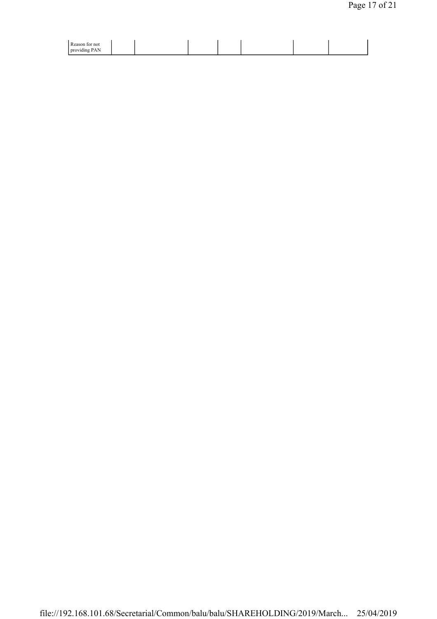| Reason for not<br>providing PAN |  |
|---------------------------------|--|
|---------------------------------|--|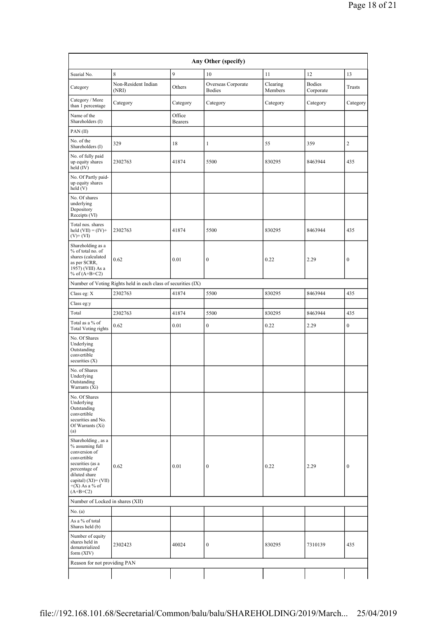|                                                                                                                                                                                          | Any Other (specify)                                           |                          |                                     |                     |                            |                  |  |
|------------------------------------------------------------------------------------------------------------------------------------------------------------------------------------------|---------------------------------------------------------------|--------------------------|-------------------------------------|---------------------|----------------------------|------------------|--|
| Searial No.                                                                                                                                                                              | 8                                                             | 9                        | 10                                  | 11                  | 12                         | 13               |  |
| Category                                                                                                                                                                                 | Non-Resident Indian<br>(NRI)                                  | Others                   | Overseas Corporate<br><b>Bodies</b> | Clearing<br>Members | <b>Bodies</b><br>Corporate | Trusts           |  |
| Category / More<br>than 1 percentage                                                                                                                                                     | Category                                                      | Category                 | Category                            | Category            | Category                   | Category         |  |
| Name of the<br>Shareholders (I)                                                                                                                                                          |                                                               | Office<br><b>Bearers</b> |                                     |                     |                            |                  |  |
| PAN(II)                                                                                                                                                                                  |                                                               |                          |                                     |                     |                            |                  |  |
| No. of the<br>Shareholders (I)                                                                                                                                                           | 329                                                           | 18                       | 1                                   | 55                  | 359                        | $\overline{c}$   |  |
| No. of fully paid<br>up equity shares<br>held (IV)                                                                                                                                       | 2302763                                                       | 41874                    | 5500                                | 830295              | 8463944                    | 435              |  |
| No. Of Partly paid-<br>up equity shares<br>held(V)                                                                                                                                       |                                                               |                          |                                     |                     |                            |                  |  |
| No. Of shares<br>underlying<br>Depository<br>Receipts (VI)                                                                                                                               |                                                               |                          |                                     |                     |                            |                  |  |
| Total nos. shares<br>held $(VII) = (IV) +$<br>$(V)$ + $(VI)$                                                                                                                             | 2302763                                                       | 41874                    | 5500                                | 830295              | 8463944                    | 435              |  |
| Shareholding as a<br>% of total no. of<br>shares (calculated<br>as per SCRR,<br>1957) (VIII) As a<br>% of $(A+B+C2)$                                                                     | 0.62                                                          | 0.01                     | $\boldsymbol{0}$                    | 0.22                | 2.29                       | $\boldsymbol{0}$ |  |
|                                                                                                                                                                                          | Number of Voting Rights held in each class of securities (IX) |                          |                                     |                     |                            |                  |  |
| Class eg: X                                                                                                                                                                              | 2302763                                                       | 41874                    | 5500                                | 830295              | 8463944                    | 435              |  |
| Class eg:y                                                                                                                                                                               |                                                               |                          |                                     |                     |                            |                  |  |
| Total                                                                                                                                                                                    | 2302763                                                       | 41874                    | 5500                                | 830295              | 8463944                    | 435              |  |
| Total as a % of<br><b>Total Voting rights</b>                                                                                                                                            | 0.62                                                          | 0.01                     | $\boldsymbol{0}$                    | 0.22                | 2.29                       | $\boldsymbol{0}$ |  |
| No. Of Shares<br>Underlying<br>Outstanding<br>convertible<br>securities (X)                                                                                                              |                                                               |                          |                                     |                     |                            |                  |  |
| No. of Shares<br>Underlying<br>Outstanding<br>Warrants (Xi)                                                                                                                              |                                                               |                          |                                     |                     |                            |                  |  |
| No. Of Shares<br>Underlying<br>Outstanding<br>convertible<br>securities and No.<br>Of Warrants (Xi)<br>(a)                                                                               |                                                               |                          |                                     |                     |                            |                  |  |
| Shareholding, as a<br>% assuming full<br>conversion of<br>convertible<br>securities (as a<br>percentage of<br>diluted share<br>capital) $(XI) = (VII)$<br>$+(X)$ As a % of<br>$(A+B+C2)$ | 0.62                                                          | 0.01                     | $\boldsymbol{0}$                    | 0.22                | 2.29                       | $\boldsymbol{0}$ |  |
| Number of Locked in shares (XII)                                                                                                                                                         |                                                               |                          |                                     |                     |                            |                  |  |
| No. (a)                                                                                                                                                                                  |                                                               |                          |                                     |                     |                            |                  |  |
| As a % of total<br>Shares held (b)                                                                                                                                                       |                                                               |                          |                                     |                     |                            |                  |  |
| Number of equity<br>shares held in<br>dematerialized<br>form (XIV)                                                                                                                       | 2302423                                                       | 40024                    | $\boldsymbol{0}$                    | 830295              | 7310139                    | 435              |  |
| Reason for not providing PAN                                                                                                                                                             |                                                               |                          |                                     |                     |                            |                  |  |
|                                                                                                                                                                                          |                                                               |                          |                                     |                     |                            |                  |  |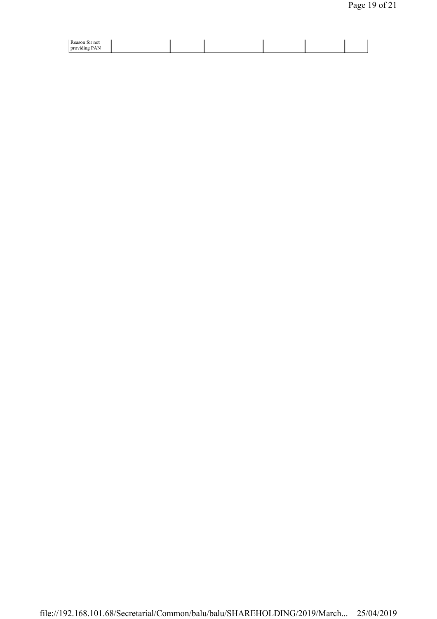| Reason<br>tor not       |  |  |  |
|-------------------------|--|--|--|
| N<br>providing<br>1. LY |  |  |  |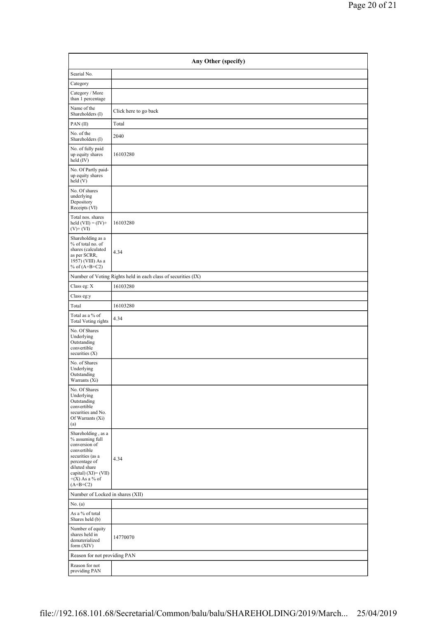|                                                                                                                                                                                          | Any Other (specify)                                           |
|------------------------------------------------------------------------------------------------------------------------------------------------------------------------------------------|---------------------------------------------------------------|
| Searial No.                                                                                                                                                                              |                                                               |
| Category                                                                                                                                                                                 |                                                               |
| Category / More<br>than 1 percentage                                                                                                                                                     |                                                               |
| Name of the<br>Shareholders (I)                                                                                                                                                          | Click here to go back                                         |
| PAN(II)                                                                                                                                                                                  | Total                                                         |
| No. of the<br>Shareholders (I)                                                                                                                                                           | 2040                                                          |
| No. of fully paid<br>up equity shares<br>held (IV)                                                                                                                                       | 16103280                                                      |
| No. Of Partly paid-<br>up equity shares<br>held(V)                                                                                                                                       |                                                               |
| No. Of shares<br>underlying<br>Depository<br>Receipts (VI)                                                                                                                               |                                                               |
| Total nos. shares<br>held $(VII) = (IV) +$<br>$(V)+(VI)$                                                                                                                                 | 16103280                                                      |
| Shareholding as a<br>% of total no. of<br>shares (calculated<br>as per SCRR,<br>1957) (VIII) As a<br>% of $(A+B+C2)$                                                                     | 4.34                                                          |
|                                                                                                                                                                                          | Number of Voting Rights held in each class of securities (IX) |
| Class eg: X                                                                                                                                                                              | 16103280                                                      |
| Class eg:y                                                                                                                                                                               |                                                               |
| Total                                                                                                                                                                                    | 16103280                                                      |
| Total as a % of<br><b>Total Voting rights</b>                                                                                                                                            | 4.34                                                          |
| No. Of Shares<br>Underlying<br>Outstanding<br>convertible<br>securities $(X)$                                                                                                            |                                                               |
| No. of Shares<br>Underlying<br>Outstanding<br>Warrants (Xi)                                                                                                                              |                                                               |
| No. Of Shares<br>Underlying<br>Outstanding<br>convertible<br>securities and No.<br>Of Warrants (Xi)<br>(a)                                                                               |                                                               |
| Shareholding, as a<br>% assuming full<br>conversion of<br>convertible<br>securities (as a<br>percentage of<br>diluted share<br>capital) $(XI) = (VII)$<br>$+(X)$ As a % of<br>$(A+B+C2)$ | 4.34                                                          |
| Number of Locked in shares (XII)                                                                                                                                                         |                                                               |
| No. (a)                                                                                                                                                                                  |                                                               |
| As a % of total<br>Shares held (b)                                                                                                                                                       |                                                               |
| Number of equity<br>shares held in<br>dematerialized<br>form $(XIV)$                                                                                                                     | 14770070                                                      |
| Reason for not providing PAN                                                                                                                                                             |                                                               |
| Reason for not<br>providing PAN                                                                                                                                                          |                                                               |